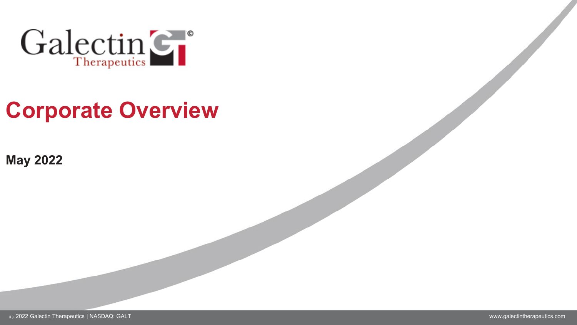

# **Corporate Overview**

**May 2022**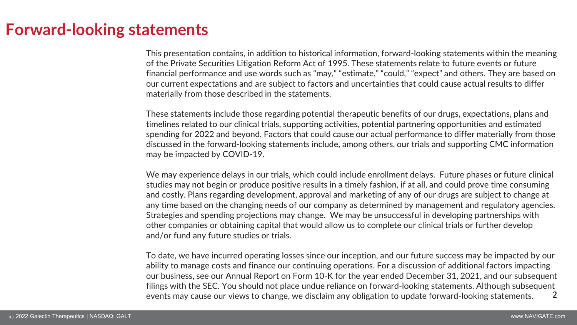### **Forward-looking statements**

This presentation contains, in addition to historical information, forward-looking statements within the meaning of the Private Securities Litigation Reform Act of 1995. These statements relate to future events or future financial performance and use words such as "may," "estimate," "could," "expect" and others. They are based on our current expectations and are subject to factors and uncertainties that could cause actual results to differ materially from those described in the statements.

These statements include those regarding potential therapeutic benefits of our drugs, expectations, plans and timelines related to our clinical trials, supporting activities, potential partnering opportunities and estimated spending for 2022 and beyond. Factors that could cause our actual performance to differ materially from those discussed in the forward-looking statements include, among others, our trials and supporting CMC information may be impacted by COVID-19.

We may experience delays in our trials, which could include enrollment delays. Future phases or future clinical studies may not begin or produce positive results in a timely fashion, if at all, and could prove time consuming and costly. Plans regarding development, approval and marketing of any of our drugs are subject to change at any time based on the changing needs of our company as determined by management and regulatory agencies. Strategies and spending projections may change. We may be unsuccessful in developing partnerships with other companies or obtaining capital that would allow us to complete our clinical trials or further develop and/or fund any future studies or trials.

To date, we have incurred operating losses since our inception, and our future success may be impacted by our ability to manage costs and finance our continuing operations. For a discussion of additional factors impacting our business, see our Annual Report on Form 10-K for the year ended December 31, 2021, and our subsequent filings with the SEC. You should not place undue reliance on forward-looking statements. Although subsequent events may cause our views to change, we disclaim any obligation to update forward-looking statements. 2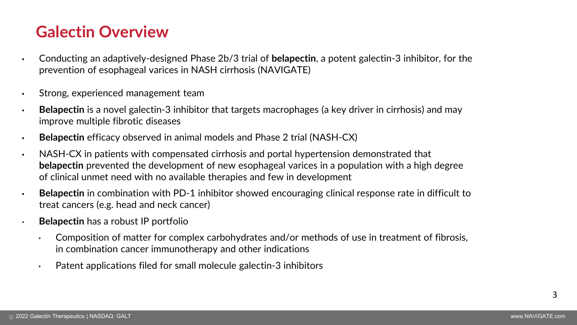### **Galectin Overview**

- Conducting an adaptively-designed Phase 2b/3 trial of **belapectin**, a potent galectin-3 inhibitor, for the prevention of esophageal varices in NASH cirrhosis (NAVIGATE)
- Strong, experienced management team
- **Belapectin** is a novel galectin-3 inhibitor that targets macrophages (a key driver in cirrhosis) and may improve multiple fibrotic diseases
- **Belapectin** efficacy observed in animal models and Phase 2 trial (NASH-CX)
- NASH-CX in patients with compensated cirrhosis and portal hypertension demonstrated that **belapectin** prevented the development of new esophageal varices in a population with a high degree of clinical unmet need with no available therapies and few in development
- **Belapectin** in combination with PD-1 inhibitor showed encouraging clinical response rate in difficult to treat cancers (e.g. head and neck cancer)
- **Belapectin** has a robust IP portfolio
	- Composition of matter for complex carbohydrates and/or methods of use in treatment of fibrosis, in combination cancer immunotherapy and other indications
	- Patent applications filed for small molecule galectin-3 inhibitors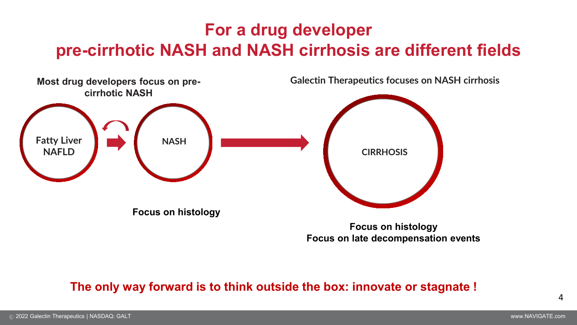## **For a drug developer pre-cirrhotic NASH and NASH cirrhosis are different fields**



#### **The only way forward is to think outside the box: innovate or stagnate !**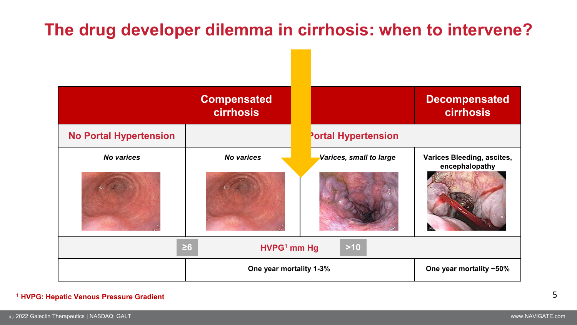# **The drug developer dilemma in cirrhosis: when to intervene?**



#### **<sup>1</sup> HVPG: Hepatic Venous Pressure Gradient**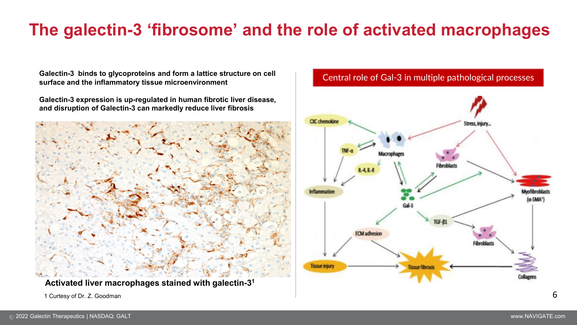# **The galectin-3 'fibrosome' and the role of activated macrophages**

**Galectin-3 binds to glycoproteins and form a lattice structure on cell surface and the inflammatory tissue microenvironment**

**Galectin-3 expression is up-regulated in human fibrotic liver disease, and disruption of Galectin-3 can markedly reduce liver fibrosis**



**Activated liver macrophages stained with galectin-31**

1 Curtesy of Dr. Z. Goodman  $\overline{\mathbf{6}}$ 

#### Central role of Gal-3 in multiple pathological processes

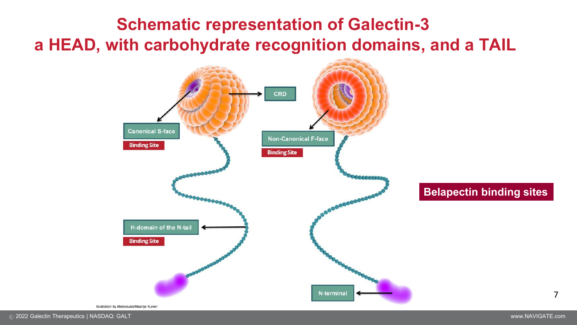# **Schematic representation of Galectin-3 a HEAD, with carbohydrate recognition domains, and a TAIL**



#### **Belapectin binding sites**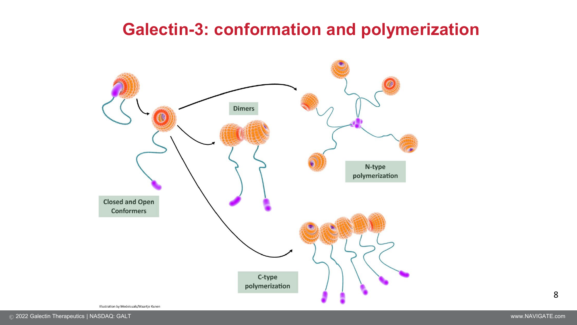### **Galectin-3: conformation and polymerization**



Illustration by Medvisuals/Maartje Kunen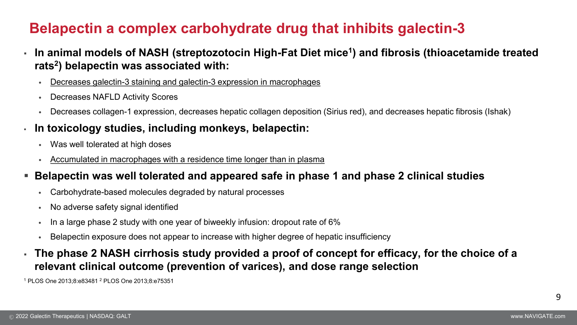### **Belapectin a complex carbohydrate drug that inhibits galectin-3**

- **In animal models of NASH (streptozotocin High-Fat Diet mice1) and fibrosis (thioacetamide treated rats2) belapectin was associated with:**
	- Decreases galectin-3 staining and galectin-3 expression in macrophages
	- Decreases NAFLD Activity Scores
	- Decreases collagen-1 expression, decreases hepatic collagen deposition (Sirius red), and decreases hepatic fibrosis (Ishak)

#### ▪ **In toxicology studies, including monkeys, belapectin:**

- Was well tolerated at high doses
- Accumulated in macrophages with a residence time longer than in plasma
- **Belapectin was well tolerated and appeared safe in phase 1 and phase 2 clinical studies**
	- Carbohydrate-based molecules degraded by natural processes
	- No adverse safety signal identified
	- In a large phase 2 study with one year of biweekly infusion: dropout rate of 6%
	- Belapectin exposure does not appear to increase with higher degree of hepatic insufficiency
- **The phase 2 NASH cirrhosis study provided a proof of concept for efficacy, for the choice of a relevant clinical outcome (prevention of varices), and dose range selection**

<sup>1</sup> PLOS One 2013;8:e83481 2 PLOS One 2013;8:e75351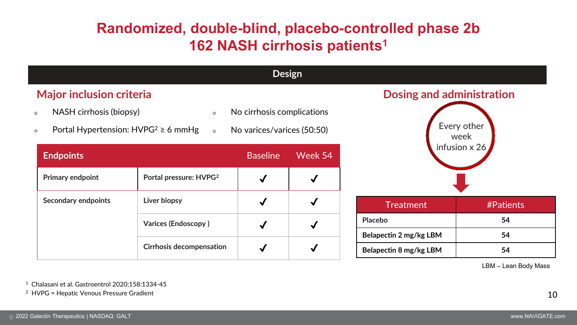### **Randomized, double-blind, placebo-controlled phase 2b 162 NASH cirrhosis patients<sup>1</sup>**

| <b>Design</b>                                                                                                   |                                    |                                                          |              |                                  |           |  |
|-----------------------------------------------------------------------------------------------------------------|------------------------------------|----------------------------------------------------------|--------------|----------------------------------|-----------|--|
| <b>Major inclusion criteria</b>                                                                                 |                                    |                                                          |              | <b>Dosing and administration</b> |           |  |
| NASH cirrhosis (biopsy)<br>$\circ$<br>$\circ$<br>Portal Hypertension: $HVPG^2 \ge 6$ mmHg<br>$\circ$<br>$\circ$ |                                    | No cirrhosis complications<br>No varices/varices (50:50) |              | Every other<br>week              |           |  |
| <b>Endpoints</b>                                                                                                |                                    | <b>Baseline</b>                                          | Week 54      | infusion $\times$ 26             |           |  |
| <b>Primary endpoint</b>                                                                                         | Portal pressure: HVPG <sup>2</sup> |                                                          | $\checkmark$ |                                  |           |  |
| <b>Secondary endpoints</b>                                                                                      | Liver biopsy                       | $\checkmark$                                             | $\checkmark$ | <b>Treatment</b>                 | #Patients |  |
|                                                                                                                 | <b>Varices (Endoscopy)</b>         | $\checkmark$                                             | $\checkmark$ | Placebo                          | 54        |  |
|                                                                                                                 |                                    |                                                          |              | Belapectin 2 mg/kg LBM           | 54        |  |
|                                                                                                                 | <b>Cirrhosis decompensation</b>    |                                                          | $\checkmark$ | Belapectin 8 mg/kg LBM           | 54        |  |
| LBM - Lean Body Mass                                                                                            |                                    |                                                          |              |                                  |           |  |

<sup>1</sup> Chalasani et al. Gastroentrol 2020;158:1334-45

2 HVPG = Hepatic Venous Pressure Gradient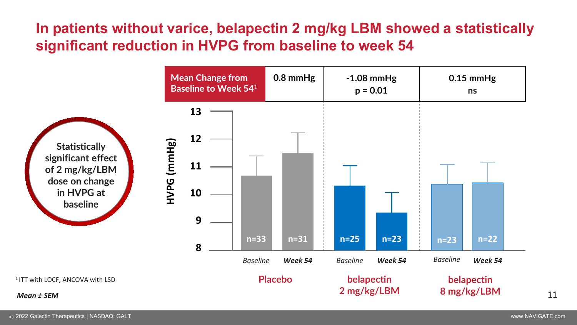### **In patients without varice, belapectin 2 mg/kg LBM showed a statistically significant reduction in HVPG from baseline to week 54**

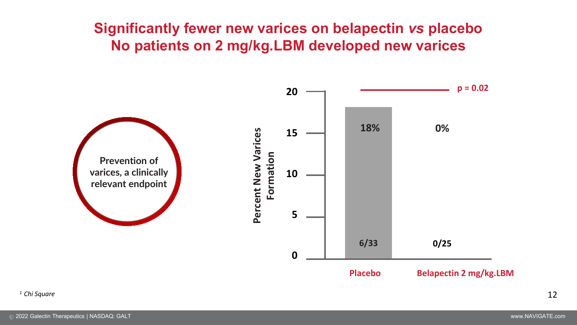### **Significantly fewer new varices on belapectin** *vs* **placebo No patients on 2 mg/kg.LBM developed new varices**

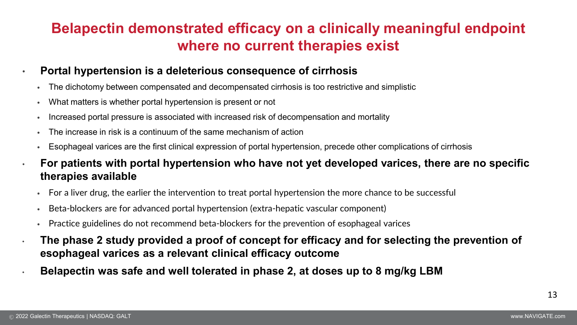### **Belapectin demonstrated efficacy on a clinically meaningful endpoint where no current therapies exist**

- **Portal hypertension is a deleterious consequence of cirrhosis**
	- The dichotomy between compensated and decompensated cirrhosis is too restrictive and simplistic
	- What matters is whether portal hypertension is present or not
	- Increased portal pressure is associated with increased risk of decompensation and mortality
	- The increase in risk is a continuum of the same mechanism of action
	- Esophageal varices are the first clinical expression of portal hypertension, precede other complications of cirrhosis
- **For patients with portal hypertension who have not yet developed varices, there are no specific therapies available**
	- For a liver drug, the earlier the intervention to treat portal hypertension the more chance to be successful
	- Beta-blockers are for advanced portal hypertension (extra-hepatic vascular component)
	- Practice guidelines do not recommend beta-blockers for the prevention of esophageal varices
- **The phase 2 study provided a proof of concept for efficacy and for selecting the prevention of esophageal varices as a relevant clinical efficacy outcome**
- **Belapectin was safe and well tolerated in phase 2, at doses up to 8 mg/kg LBM**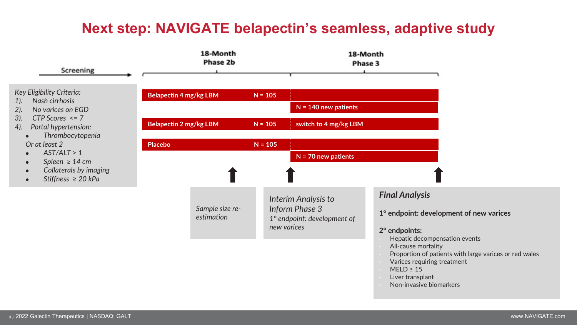### **Next step: NAVIGATE belapectin's seamless, adaptive study**

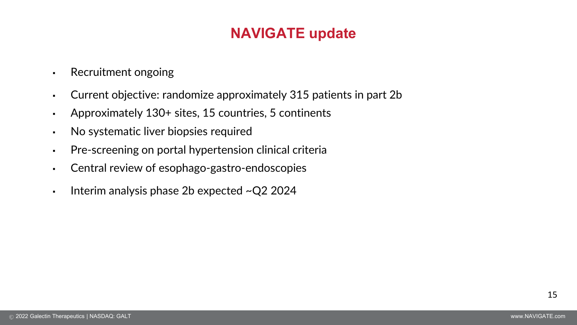### **NAVIGATE update**

- Recruitment ongoing
- Current objective: randomize approximately 315 patients in part 2b
- Approximately 130+ sites, 15 countries, 5 continents
- No systematic liver biopsies required
- Pre-screening on portal hypertension clinical criteria
- Central review of esophago-gastro-endoscopies
- **•** Interim analysis phase 2b expected  $\sim Q2$  2024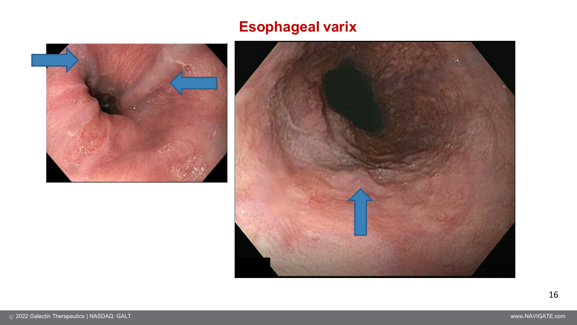### **Esophageal varix**



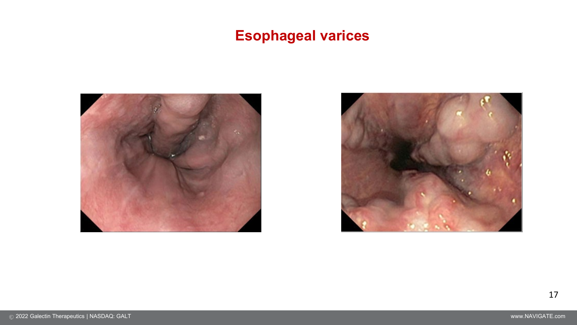### **Esophageal varices**



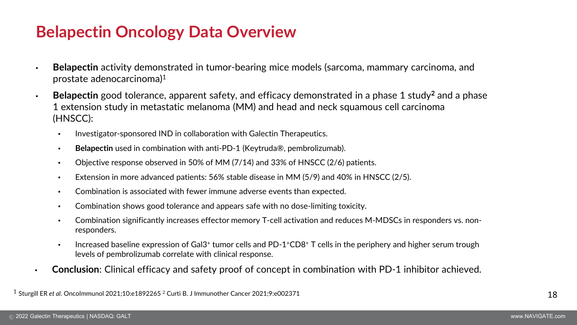### **Belapectin Oncology Data Overview**

- **Belapectin** activity demonstrated in tumor-bearing mice models (sarcoma, mammary carcinoma, and prostate adenocarcinoma)1
- **Belapectin** good tolerance, apparent safety, and efficacy demonstrated in a phase 1 study**<sup>2</sup>** and a phase 1 extension study in metastatic melanoma (MM) and head and neck squamous cell carcinoma (HNSCC):
	- **Investigator-sponsored IND in collaboration with Galectin Therapeutics.**
	- **Belapectin** used in combination with anti-PD-1 (Keytruda®, pembrolizumab).
	- Objective response observed in 50% of MM (7/14) and 33% of HNSCC (2/6) patients.
	- Extension in more advanced patients: 56% stable disease in MM (5/9) and 40% in HNSCC (2/5).
	- Combination is associated with fewer immune adverse events than expected.
	- Combination shows good tolerance and appears safe with no dose-limiting toxicity.
	- Combination significantly increases effector memory T-cell activation and reduces M-MDSCs in responders vs. nonresponders.
	- **Increased baseline expression of Gal3+ tumor cells and PD-1+CD8+ T cells in the periphery and higher serum trough** levels of pembrolizumab correlate with clinical response.
- **Conclusion**: Clinical efficacy and safety proof of concept in combination with PD-1 inhibitor achieved.

<sup>1</sup> Sturgill ER *et al*. OncoImmunol 2021;10:e1892265 <sup>2</sup> Curti B. J Immunother Cancer 2021;9:e002371